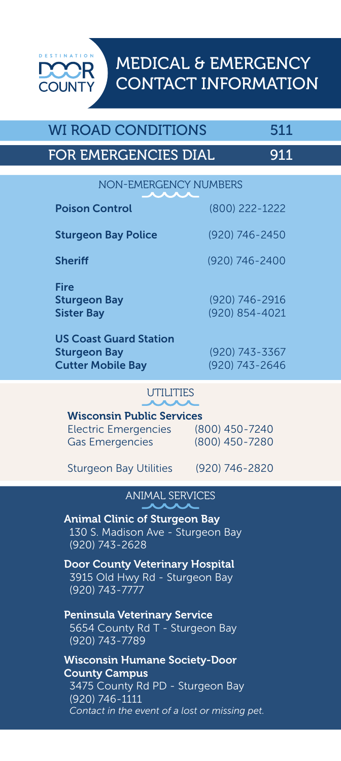MEDICAL & EMERGENCY CONTACT INFORMATION

 $(800)$  222-1222

### WI ROAD CONDITIONS 511

**COUNTY** 

## FOR EMERGENCIES DIAL 911

NON-EMERGENCY NUMBERS

| 1 969 11 991 11 91            | NUUULLLL ILLL  |
|-------------------------------|----------------|
| <b>Sturgeon Bay Police</b>    | (920) 746-2450 |
| <b>Sheriff</b>                | (920) 746-2400 |
| <b>Fire</b>                   |                |
| <b>Sturgeon Bay</b>           | (920) 746-2916 |
| <b>Sister Bay</b>             | (920) 854-4021 |
| <b>US Coast Guard Station</b> |                |
| <b>Sturgeon Bay</b>           | (920) 743-3367 |
| <b>Cutter Mobile Bay</b>      | (920) 743-2646 |

#### **UTILITIES**

Wisconsin Public Services Electric Emergencies (800) 450-7240 Gas Emergencies (800) 450-7280

Sturgeon Bay Utilities (920) 746-2820

ANIMAL SERVICES

Animal Clinic of Sturgeon Bay 130 S. Madison Ave - Sturgeon Bay (920) 743-2628

Door County Veterinary Hospital 3915 Old Hwy Rd - Sturgeon Bay (920) 743-7777

Peninsula Veterinary Service 5654 County Rd T - Sturgeon Bay (920) 743-7789

Wisconsin Humane Society-Door County Campus 3475 County Rd PD - Sturgeon Bay (920) 746-1111 *Contact in the event of a lost or missing pet.*